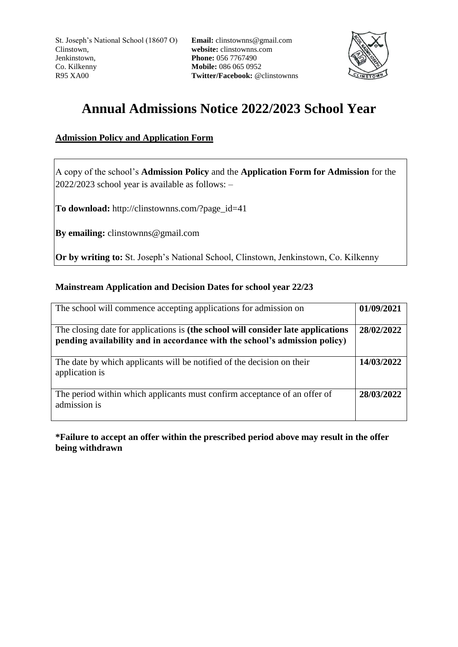St. Joseph's National School (18607 O) Clinstown, Jenkinstown, Co. Kilkenny R95 XA00

**Email:** clinstownns@gmail.com **website:** clinstownns.com **Phone:** 056 7767490 **Mobile:** 086 065 0952 **Twitter/Facebook:** @clinstownns



# **Annual Admissions Notice 2022/2023 School Year**

## **Admission Policy and Application Form**

A copy of the school's **Admission Policy** and the **Application Form for Admission** for the 2022/2023 school year is available as follows: –

**To download:** http://clinstownns.com/?page\_id=41

**By emailing:** clinstownns@gmail.com

**Or by writing to:** St. Joseph's National School, Clinstown, Jenkinstown, Co. Kilkenny

### **Mainstream Application and Decision Dates for school year 22/23**

| The school will commence accepting applications for admission on                                                                                               | 01/09/2021 |
|----------------------------------------------------------------------------------------------------------------------------------------------------------------|------------|
| The closing date for applications is (the school will consider late applications<br>pending availability and in accordance with the school's admission policy) | 28/02/2022 |
| The date by which applicants will be notified of the decision on their<br>application is                                                                       | 14/03/2022 |
| The period within which applicants must confirm acceptance of an offer of<br>admission is                                                                      | 28/03/2022 |

**\*Failure to accept an offer within the prescribed period above may result in the offer being withdrawn**